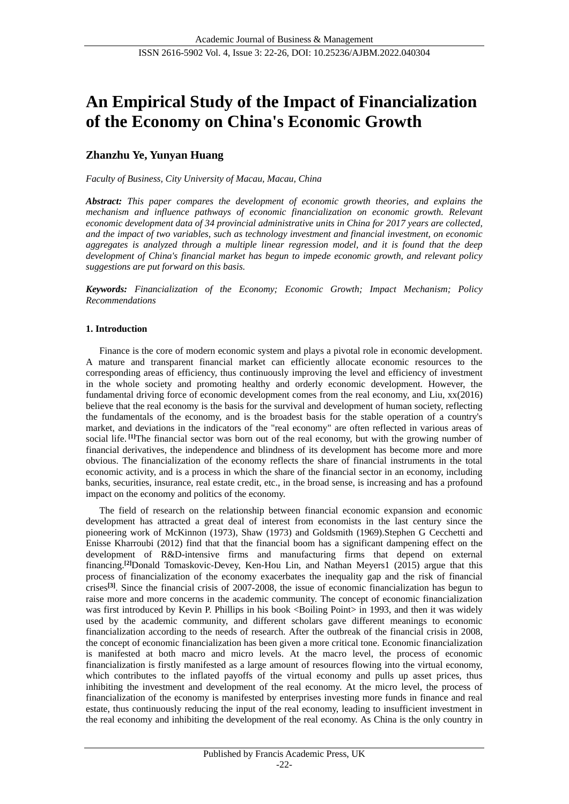# **An Empirical Study of the Impact of Financialization of the Economy on China's Economic Growth**

## **Zhanzhu Ye, Yunyan Huang**

*Faculty of Business, City University of Macau, Macau, China*

*Abstract: This paper compares the development of economic growth theories, and explains the mechanism and influence pathways of economic financialization on economic growth. Relevant economic development data of 34 provincial administrative units in China for 2017 years are collected, and the impact of two variables, such as technology investment and financial investment, on economic aggregates is analyzed through a multiple linear regression model, and it is found that the deep development of China's financial market has begun to impede economic growth, and relevant policy suggestions are put forward on this basis.*

*Keywords: Financialization of the Economy; Economic Growth; Impact Mechanism; Policy Recommendations*

## **1. Introduction**

Finance is the core of modern economic system and plays a pivotal role in economic development. A mature and transparent financial market can efficiently allocate economic resources to the corresponding areas of efficiency, thus continuously improving the level and efficiency of investment in the whole society and promoting healthy and orderly economic development. However, the fundamental driving force of economic development comes from the real economy, and Liu, xx(2016) believe that the real economy is the basis for the survival and development of human society, reflecting the fundamentals of the economy, and is the broadest basis for the stable operation of a country's market, and deviations in the indicators of the "real economy" are often reflected in various areas of social life. <sup>[1]</sup>The financial sector was born out of the real economy, but with the growing number of financial derivatives, the independence and blindness of its development has become more and more obvious. The financialization of the economy reflects the share of financial instruments in the total economic activity, and is a process in which the share of the financial sector in an economy, including banks, securities, insurance, real estate credit, etc., in the broad sense, is increasing and has a profound impact on the economy and politics of the economy.

The field of research on the relationship between financial economic expansion and economic development has attracted a great deal of interest from economists in the last century since the pioneering work of McKinnon (1973), Shaw (1973) and Goldsmith (1969).Stephen G Cecchetti and Enisse Kharroubi (2012) find that that the financial boom has a significant dampening effect on the development of R&D-intensive firms and manufacturing firms that depend on external financing.**[2]**Donald Tomaskovic-Devey, Ken-Hou Lin, and Nathan Meyers1 (2015) argue that this process of financialization of the economy exacerbates the inequality gap and the risk of financial crises **[3]**. Since the financial crisis of 2007-2008, the issue of economic financialization has begun to raise more and more concerns in the academic community. The concept of economic financialization was first introduced by Kevin P. Phillips in his book <Boiling Point> in 1993, and then it was widely used by the academic community, and different scholars gave different meanings to economic financialization according to the needs of research. After the outbreak of the financial crisis in 2008, the concept of economic financialization has been given a more critical tone. Economic financialization is manifested at both macro and micro levels. At the macro level, the process of economic financialization is firstly manifested as a large amount of resources flowing into the virtual economy, which contributes to the inflated payoffs of the virtual economy and pulls up asset prices, thus inhibiting the investment and development of the real economy. At the micro level, the process of financialization of the economy is manifested by enterprises investing more funds in finance and real estate, thus continuously reducing the input of the real economy, leading to insufficient investment in the real economy and inhibiting the development of the real economy. As China is the only country in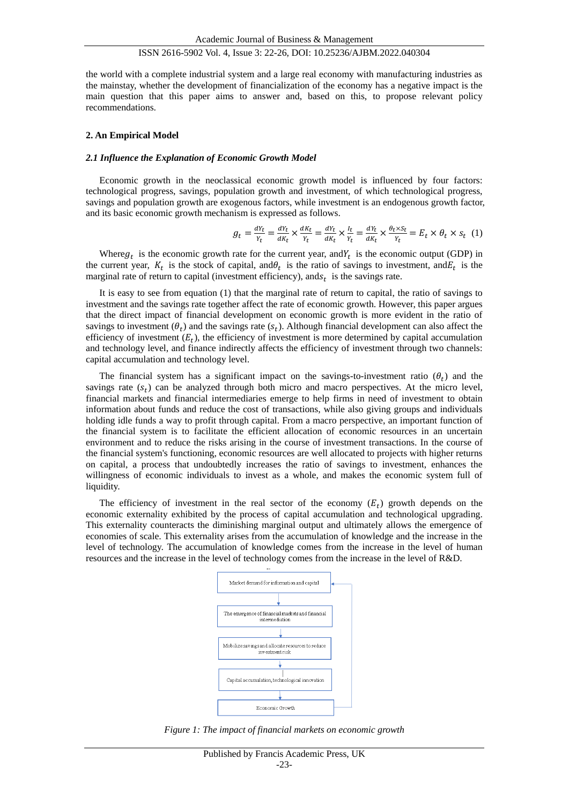the world with a complete industrial system and a large real economy with manufacturing industries as the mainstay, whether the development of financialization of the economy has a negative impact is the main question that this paper aims to answer and, based on this, to propose relevant policy recommendations.

#### **2. An Empirical Model**

#### *2.1 Influence the Explanation of Economic Growth Model*

Economic growth in the neoclassical economic growth model is influenced by four factors: technological progress, savings, population growth and investment, of which technological progress, savings and population growth are exogenous factors, while investment is an endogenous growth factor, and its basic economic growth mechanism is expressed as follows.

$$
g_t = \frac{dY_t}{Y_t} = \frac{dY_t}{dK_t} \times \frac{dK_t}{Y_t} = \frac{dY_t}{dK_t} \times \frac{I_t}{Y_t} = \frac{dY_t}{dK_t} \times \frac{\theta_t \times S_t}{Y_t} = E_t \times \theta_t \times S_t
$$
 (1)

Where  $g_t$  is the economic growth rate for the current year, and  $Y_t$  is the economic output (GDP) in the current year,  $K_t$  is the stock of capital, and  $\theta_t$  is the ratio of savings to investment, and  $E_t$  is the marginal rate of return to capital (investment efficiency), and  $s_t$  is the savings rate.

It is easy to see from equation (1) that the marginal rate of return to capital, the ratio of savings to investment and the savings rate together affect the rate of economic growth. However, this paper argues that the direct impact of financial development on economic growth is more evident in the ratio of savings to investment  $(\theta_t)$  and the savings rate  $(s_t)$ . Although financial development can also affect the efficiency of investment  $(E_t)$ , the efficiency of investment is more determined by capital accumulation and technology level, and finance indirectly affects the efficiency of investment through two channels: capital accumulation and technology level.

The financial system has a significant impact on the savings-to-investment ratio  $(\theta_t)$  and the savings rate  $(s_t)$  can be analyzed through both micro and macro perspectives. At the micro level, financial markets and financial intermediaries emerge to help firms in need of investment to obtain information about funds and reduce the cost of transactions, while also giving groups and individuals holding idle funds a way to profit through capital. From a macro perspective, an important function of the financial system is to facilitate the efficient allocation of economic resources in an uncertain environment and to reduce the risks arising in the course of investment transactions. In the course of the financial system's functioning, economic resources are well allocated to projects with higher returns on capital, a process that undoubtedly increases the ratio of savings to investment, enhances the willingness of economic individuals to invest as a whole, and makes the economic system full of liquidity.

The efficiency of investment in the real sector of the economy  $(E_t)$  growth depends on the economic externality exhibited by the process of capital accumulation and technological upgrading. This externality counteracts the diminishing marginal output and ultimately allows the emergence of economies of scale. This externality arises from the accumulation of knowledge and the increase in the level of technology. The accumulation of knowledge comes from the increase in the level of human resources and the increase in the level of technology comes from the increase in the level of R&D.



*Figure 1: The impact of financial markets on economic growth*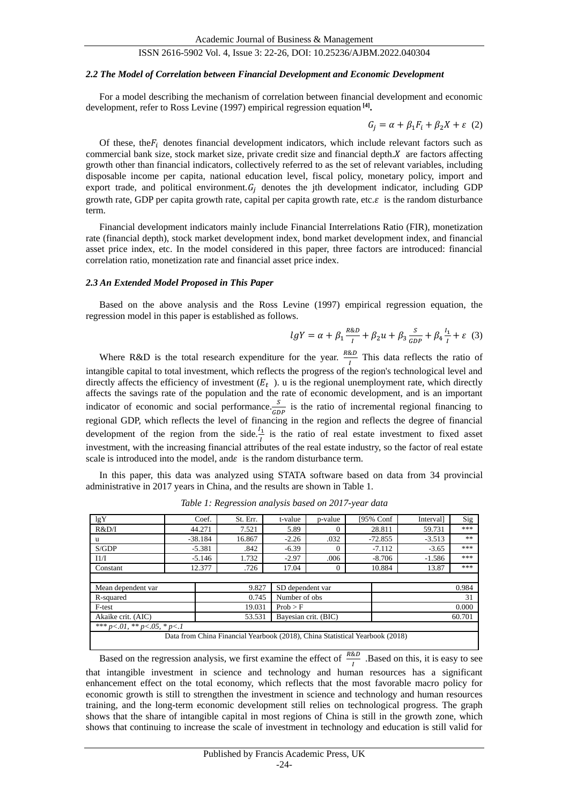#### *2.2 The Model of Correlation between Financial Development and Economic Development*

For a model describing the mechanism of correlation between financial development and economic development, refer to Ross Levine (1997) empirical regression equation **[4] .**

$$
G_j = \alpha + \beta_1 F_i + \beta_2 X + \varepsilon \quad (2)
$$

Of these, the  $F_i$  denotes financial development indicators, which include relevant factors such as commercial bank size, stock market size, private credit size and financial depth.  $X$  are factors affecting growth other than financial indicators, collectively referred to as the set of relevant variables, including disposable income per capita, national education level, fiscal policy, monetary policy, import and export trade, and political environment.  $G_i$  denotes the jth development indicator, including GDP growth rate, GDP per capita growth rate, capital per capita growth rate, etc. $\varepsilon$  is the random disturbance term.

Financial development indicators mainly include Financial Interrelations Ratio (FIR), monetization rate (financial depth), stock market development index, bond market development index, and financial asset price index, etc. In the model considered in this paper, three factors are introduced: financial correlation ratio, monetization rate and financial asset price index.

#### *2.3 An Extended Model Proposed in This Paper*

Based on the above analysis and the Ross Levine (1997) empirical regression equation, the regression model in this paper is established as follows.

$$
lgY = \alpha + \beta_1 \frac{R\&D}{I} + \beta_2 u + \beta_3 \frac{S}{GDP} + \beta_4 \frac{I_1}{I} + \varepsilon
$$
 (3)

Where R&D is the total research expenditure for the year.  $\frac{R&D}{I}$  This data reflects the ratio of intangible capital to total investment, which reflects the progress of the region's technological level and directly affects the efficiency of investment  $(E_t)$ . u is the regional unemployment rate, which directly affects the savings rate of the population and the rate of economic development, and is an important indicator of economic and social performance.  $\frac{S}{GDP}$  is the ratio of incremental regional financing to regional GDP, which reflects the level of financing in the region and reflects the degree of financial development of the region from the side. $\frac{l_1}{l}$  is the ratio of real estate investment to fixed asset investment, with the increasing financial attributes of the real estate industry, so the factor of real estate scale is introduced into the model, and  $\varepsilon$  is the random disturbance term.

In this paper, this data was analyzed using STATA software based on data from 34 provincial administrative in 2017 years in China, and the results are shown in Table 1.

| lgY                                    | Coef.     | St. Err. | t-value  | p-value              | [95% Conf                                                                    | Interval] | Sig |  |
|----------------------------------------|-----------|----------|----------|----------------------|------------------------------------------------------------------------------|-----------|-----|--|
| R&D/I                                  | 44.271    | 7.521    | 5.89     | $\theta$             | 28.811                                                                       | 59.731    | *** |  |
| u                                      | $-38.184$ | 16.867   | $-2.26$  | .032                 | $-72.855$                                                                    | $-3.513$  | **  |  |
| S/GDP                                  | $-5.381$  | .842     | $-6.39$  | $\Omega$             | $-7.112$                                                                     | $-3.65$   | *** |  |
| 11/I                                   | $-5.146$  | 1.732    | $-2.97$  | .006                 | $-8.706$                                                                     | $-1.586$  | *** |  |
| Constant                               | 12.377    | .726     | 17.04    | $\Omega$             | 10.884                                                                       | 13.87     | *** |  |
|                                        |           |          |          |                      |                                                                              |           |     |  |
| Mean dependent var                     | 9.827     |          |          | SD dependent var     |                                                                              | 0.984     |     |  |
| R-squared                              | 0.745     |          |          | Number of obs        |                                                                              | 31        |     |  |
| F-test                                 | 19.031    |          | Prob > F |                      |                                                                              | 0.000     |     |  |
| Akaike crit. (AIC)                     |           | 53.531   |          | Bayesian crit. (BIC) |                                                                              | 60.701    |     |  |
| *** $p < 01$ , ** $p < 05$ , * $p < 1$ |           |          |          |                      |                                                                              |           |     |  |
|                                        |           |          |          |                      | Data from China Financial Yearbook (2018), China Statistical Yearbook (2018) |           |     |  |

*Table 1: Regression analysis based on 2017-year data*

Based on the regression analysis, we first examine the effect of  $\frac{R\&D}{I}$  .Based on this, it is easy to see that intangible investment in science and technology and human resources has a significant enhancement effect on the total economy, which reflects that the most favorable macro policy for economic growth is still to strengthen the investment in science and technology and human resources training, and the long-term economic development still relies on technological progress. The graph shows that the share of intangible capital in most regions of China is still in the growth zone, which shows that continuing to increase the scale of investment in technology and education is still valid for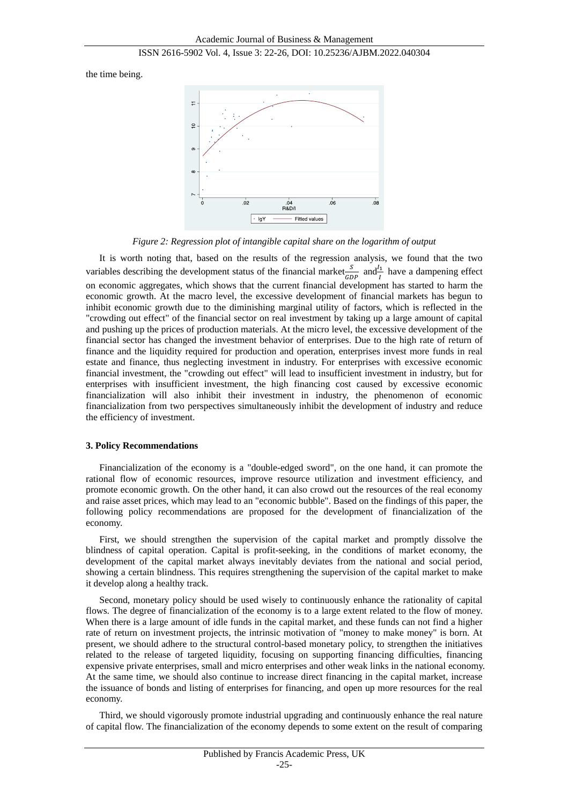the time being.



*Figure 2: Regression plot of intangible capital share on the logarithm of output*

It is worth noting that, based on the results of the regression analysis, we found that the two variables describing the development status of the financial market $\frac{s}{GDP}$  and  $\frac{l_1}{l}$  have a dampening effect on economic aggregates, which shows that the current financial development has started to harm the economic growth. At the macro level, the excessive development of financial markets has begun to inhibit economic growth due to the diminishing marginal utility of factors, which is reflected in the "crowding out effect" of the financial sector on real investment by taking up a large amount of capital and pushing up the prices of production materials. At the micro level, the excessive development of the financial sector has changed the investment behavior of enterprises. Due to the high rate of return of finance and the liquidity required for production and operation, enterprises invest more funds in real estate and finance, thus neglecting investment in industry. For enterprises with excessive economic financial investment, the "crowding out effect" will lead to insufficient investment in industry, but for enterprises with insufficient investment, the high financing cost caused by excessive economic financialization will also inhibit their investment in industry, the phenomenon of economic financialization from two perspectives simultaneously inhibit the development of industry and reduce the efficiency of investment.

## **3. Policy Recommendations**

Financialization of the economy is a "double-edged sword", on the one hand, it can promote the rational flow of economic resources, improve resource utilization and investment efficiency, and promote economic growth. On the other hand, it can also crowd out the resources of the real economy and raise asset prices, which may lead to an "economic bubble". Based on the findings of this paper, the following policy recommendations are proposed for the development of financialization of the economy.

First, we should strengthen the supervision of the capital market and promptly dissolve the blindness of capital operation. Capital is profit-seeking, in the conditions of market economy, the development of the capital market always inevitably deviates from the national and social period, showing a certain blindness. This requires strengthening the supervision of the capital market to make it develop along a healthy track.

Second, monetary policy should be used wisely to continuously enhance the rationality of capital flows. The degree of financialization of the economy is to a large extent related to the flow of money. When there is a large amount of idle funds in the capital market, and these funds can not find a higher rate of return on investment projects, the intrinsic motivation of "money to make money" is born. At present, we should adhere to the structural control-based monetary policy, to strengthen the initiatives related to the release of targeted liquidity, focusing on supporting financing difficulties, financing expensive private enterprises, small and micro enterprises and other weak links in the national economy. At the same time, we should also continue to increase direct financing in the capital market, increase the issuance of bonds and listing of enterprises for financing, and open up more resources for the real economy.

Third, we should vigorously promote industrial upgrading and continuously enhance the real nature of capital flow. The financialization of the economy depends to some extent on the result of comparing